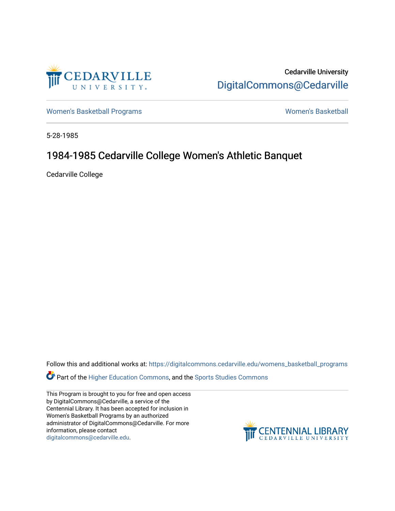

Cedarville University [DigitalCommons@Cedarville](https://digitalcommons.cedarville.edu/) 

[Women's Basketball Programs](https://digitalcommons.cedarville.edu/womens_basketball_programs) North Controller and Momen's Basketball

5-28-1985

# 1984-1985 Cedarville College Women's Athletic Banquet

Cedarville College

Follow this and additional works at: [https://digitalcommons.cedarville.edu/womens\\_basketball\\_programs](https://digitalcommons.cedarville.edu/womens_basketball_programs?utm_source=digitalcommons.cedarville.edu%2Fwomens_basketball_programs%2F158&utm_medium=PDF&utm_campaign=PDFCoverPages)

**Part of the [Higher Education Commons,](http://network.bepress.com/hgg/discipline/1245?utm_source=digitalcommons.cedarville.edu%2Fwomens_basketball_programs%2F158&utm_medium=PDF&utm_campaign=PDFCoverPages) and the Sports Studies Commons** 

This Program is brought to you for free and open access by DigitalCommons@Cedarville, a service of the Centennial Library. It has been accepted for inclusion in Women's Basketball Programs by an authorized administrator of DigitalCommons@Cedarville. For more information, please contact [digitalcommons@cedarville.edu](mailto:digitalcommons@cedarville.edu).

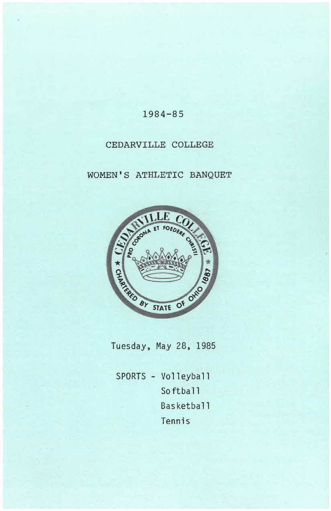# 1984-85

## CEDARVILLE COLLEGE

# WOMEN'S ATHLETIC BANQUET



Tuesday, May 28, 1985

SPORTS - Volleyball Softball Basketball Tennis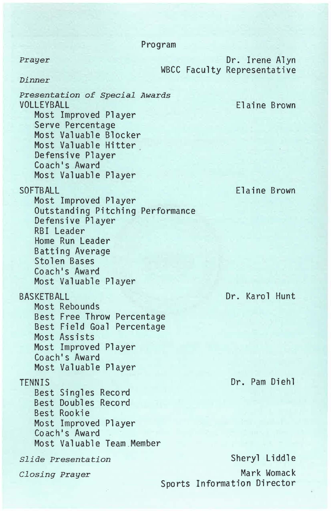Program

**Prayer** Dr. Irene Alyn WBCC Faculty Representative

*Dinner* 

*Presentation of Special Awards*  VOLLEYBALL Most Improved Player Serve Percentage Most Valuable Blocker Most Valuable Hitter **Defensive Player**  Coach's Award Most Valuable Player SOFTBALL Most Improved Player Outstanding Pitching Performance Defensive Player RBI Leader

Home Run Leader Batting Average Stolen Bases Coach's Award

Most Rebounds

**BASKETBALL** 

Most Valuable Player

Best Free Throw Percentage

Elaine Brown

Elaine Brown

Dr. Karol Hunt

Dr. Pam Diehl

Sheryl Liddle Mark Womack Sports Information Director

Best Field Goal Percentage Most Assists Most Improved Player Coach's Award Most Valuable Player TENNIS Best Singles Record Best Doubles Record Best Rookie Most Improved Player Coach's Award Most Valuable Team Member *Slide Presentation* 

*Closing Prayer*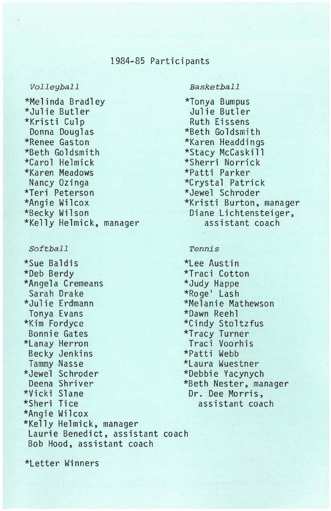## 1984-85 Participants

### *Volleyball*

\*Melinda Bradley \*Julie Butler \*Kristi Culp Donna Douglas \*Renee Gaston \*Beth Goldsmith \*Caro 1 Helmick \*Karen Meadows Nancy Ozinga \*Teri Peterson \*Angie Wilcox \*Becky Wilson \*Kelly Helmick, manager

## *Softball*

\*Sue Baldis \*Deb Berdy \*Angela Cremeans Sarah Ora ke \*Julie Erdmann Tonya Evans \*Kim Fordyce Bonnie Gates \*Lanay Herron Becky Jenkins Tammy Nasse \*Jewel Schroder Deena Shriver \*Vicki Slane \*Sheri Tice \*Angie Wilcox \*Kelly Helmick, manager Laurie Benedict, assistant coach Bob Hood, assistant coach

#### *Basketball*

\*Tonya Bumpus Julie Butler Ruth Eissens \*Beth Goldsmith \*Karen Headdings \*Stacy McCas k i 11 \*Sherri Norrick \*Patti Parker \*Crystal Patrick \*Jewel Schroder \*Kristi Burton, manager Diane Lichtensteiger, assistant coach

#### *Tennis*

\*Lee Austin \*Traci Cotton \*Judy Happe \*Roge' Lash \*Melanie Mathewson \*Dawn Reehl \*Cindy Stoltzfus \*Tracy Turner Traci Voorhis \*Patti Webb \*Laura Wuestner \*Debbie Yacynych \*Beth Nester, manager Dr. Dee **Morris,**  assistant coach

\*Letter Winners